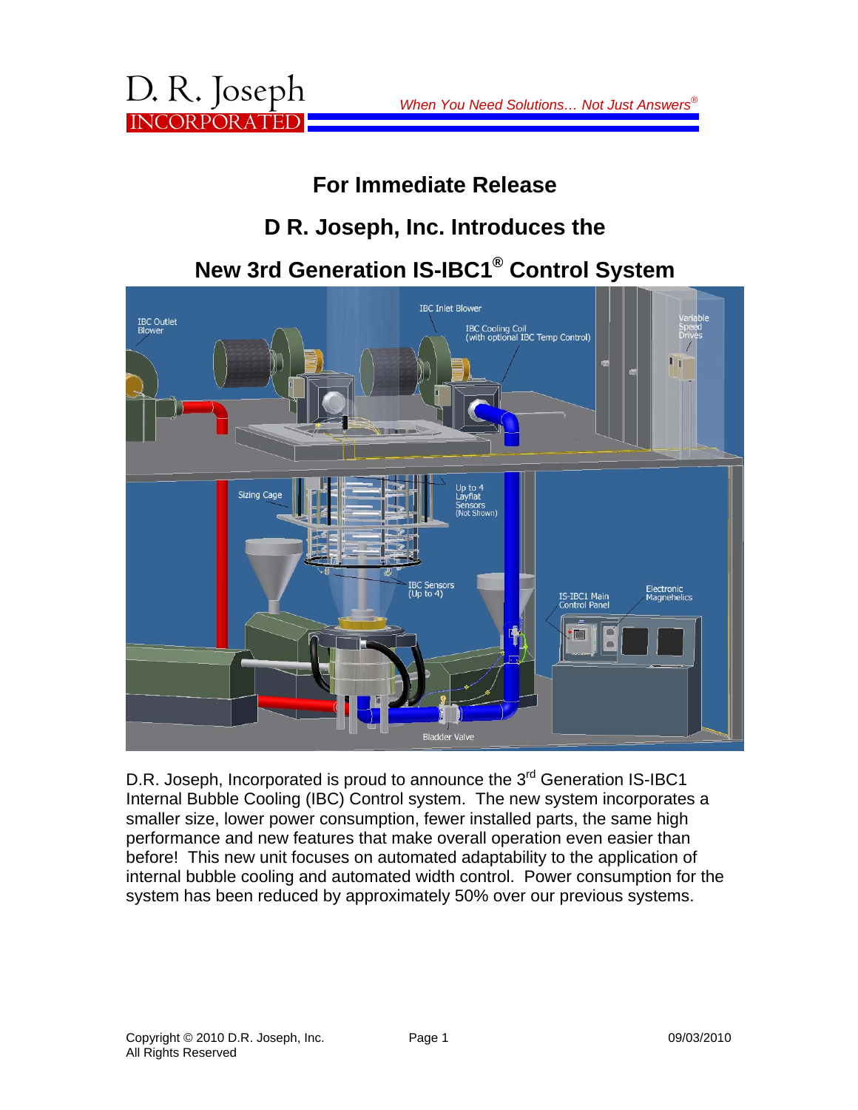D. R. Joseph **INCORPORATE** 

*When You Need Solutions… Not Just Answers®*

# **For Immediate Release**

# **D R. Joseph, Inc. Introduces the**

# **New 3rd Generation IS-IBC1® Control System**



D.R. Joseph, Incorporated is proud to announce the 3<sup>rd</sup> Generation IS-IBC1 Internal Bubble Cooling (IBC) Control system. The new system incorporates a smaller size, lower power consumption, fewer installed parts, the same high performance and new features that make overall operation even easier than before! This new unit focuses on automated adaptability to the application of internal bubble cooling and automated width control. Power consumption for the system has been reduced by approximately 50% over our previous systems.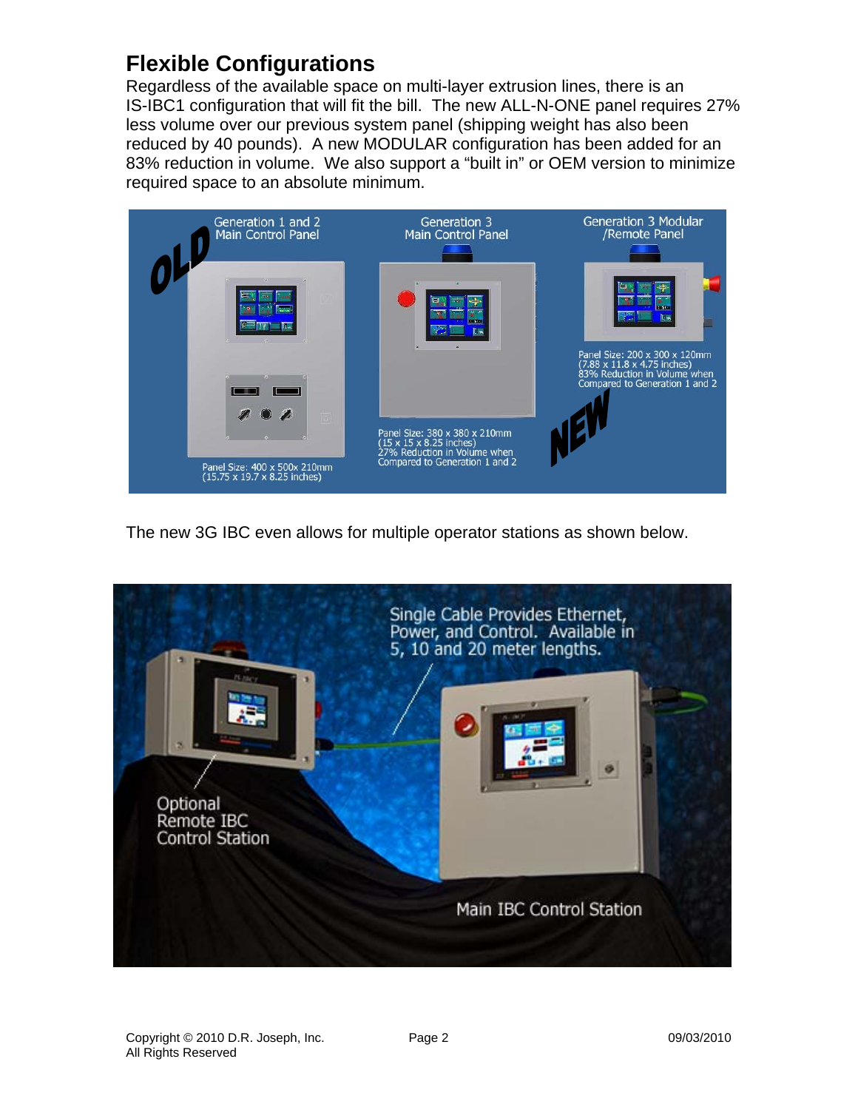# **Flexible Configurations**

Regardless of the available space on multi-layer extrusion lines, there is an IS-IBC1 configuration that will fit the bill. The new ALL-N-ONE panel requires 27% less volume over our previous system panel (shipping weight has also been reduced by 40 pounds). A new MODULAR configuration has been added for an 83% reduction in volume. We also support a "built in" or OEM version to minimize required space to an absolute minimum.



The new 3G IBC even allows for multiple operator stations as shown below.

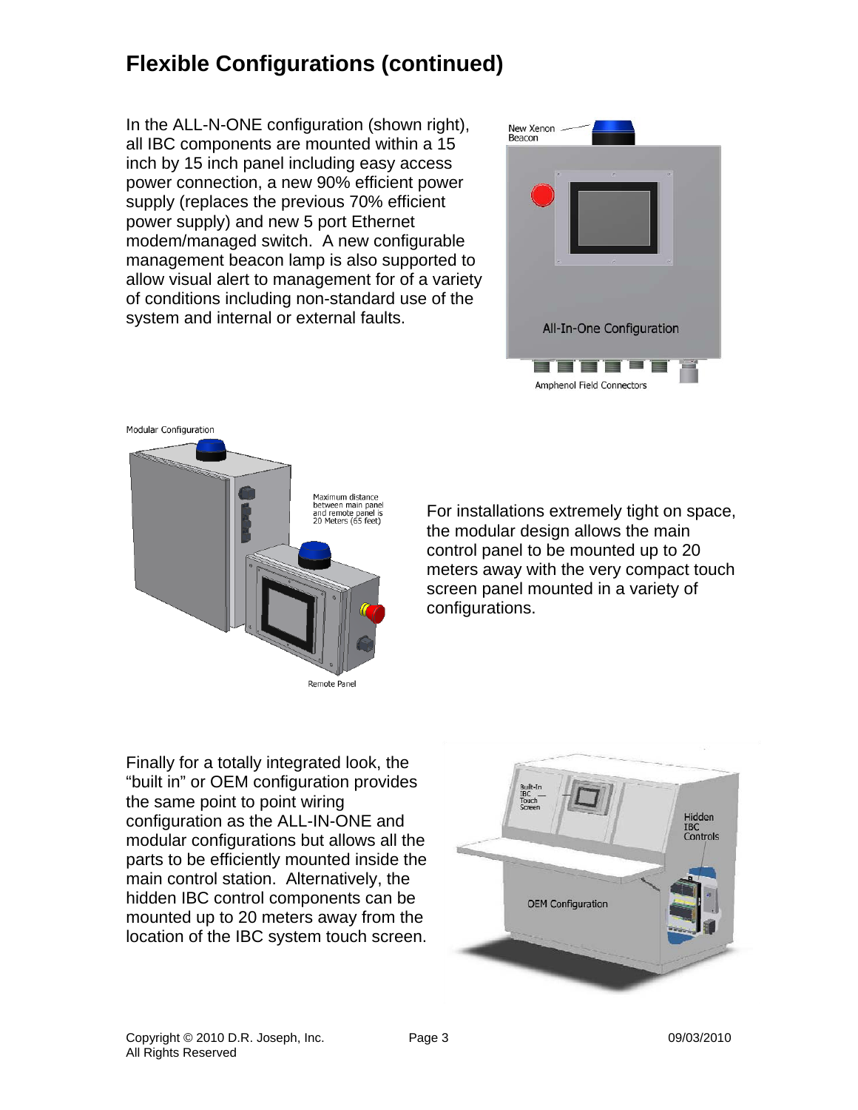# **Flexible Configurations (continued)**

In the ALL-N-ONE configuration (shown right), all IBC components are mounted within a 15 inch by 15 inch panel including easy access power connection, a new 90% efficient power supply (replaces the previous 70% efficient power supply) and new 5 port Ethernet modem/managed switch. A new configurable management beacon lamp is also supported to allow visual alert to management for of a variety of conditions including non-standard use of the system and internal or external faults.





For installations extremely tight on space, the modular design allows the main control panel to be mounted up to 20 meters away with the very compact touch screen panel mounted in a variety of configurations.

Finally for a totally integrated look, the "built in" or OEM configuration provides the same point to point wiring configuration as the ALL-IN-ONE and modular configurations but allows all the parts to be efficiently mounted inside the main control station. Alternatively, the hidden IBC control components can be mounted up to 20 meters away from the location of the IBC system touch screen.

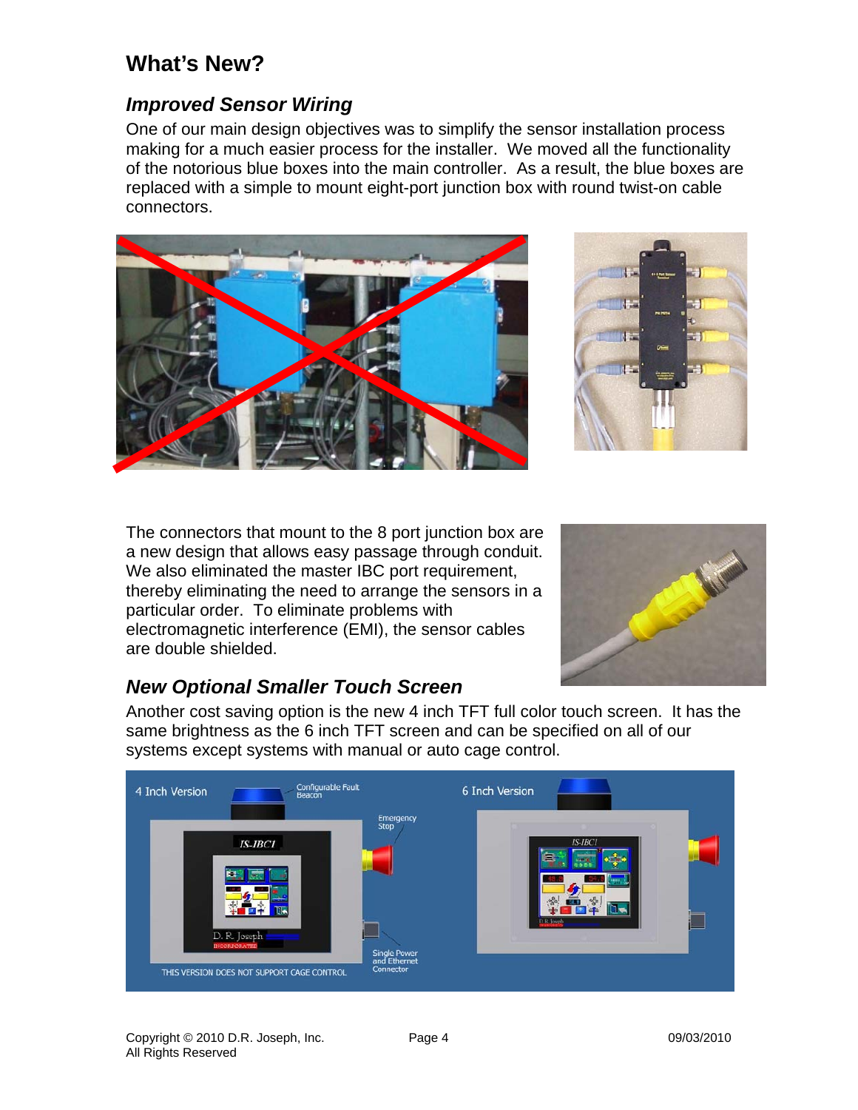## **What's New?**

#### *Improved Sensor Wiring*

One of our main design objectives was to simplify the sensor installation process making for a much easier process for the installer. We moved all the functionality of the notorious blue boxes into the main controller. As a result, the blue boxes are replaced with a simple to mount eight-port junction box with round twist-on cable connectors.





The connectors that mount to the 8 port junction box are a new design that allows easy passage through conduit. We also eliminated the master IBC port requirement, thereby eliminating the need to arrange the sensors in a particular order. To eliminate problems with electromagnetic interference (EMI), the sensor cables are double shielded.



## *New Optional Smaller Touch Screen*

Another cost saving option is the new 4 inch TFT full color touch screen. It has the same brightness as the 6 inch TFT screen and can be specified on all of our systems except systems with manual or auto cage control.

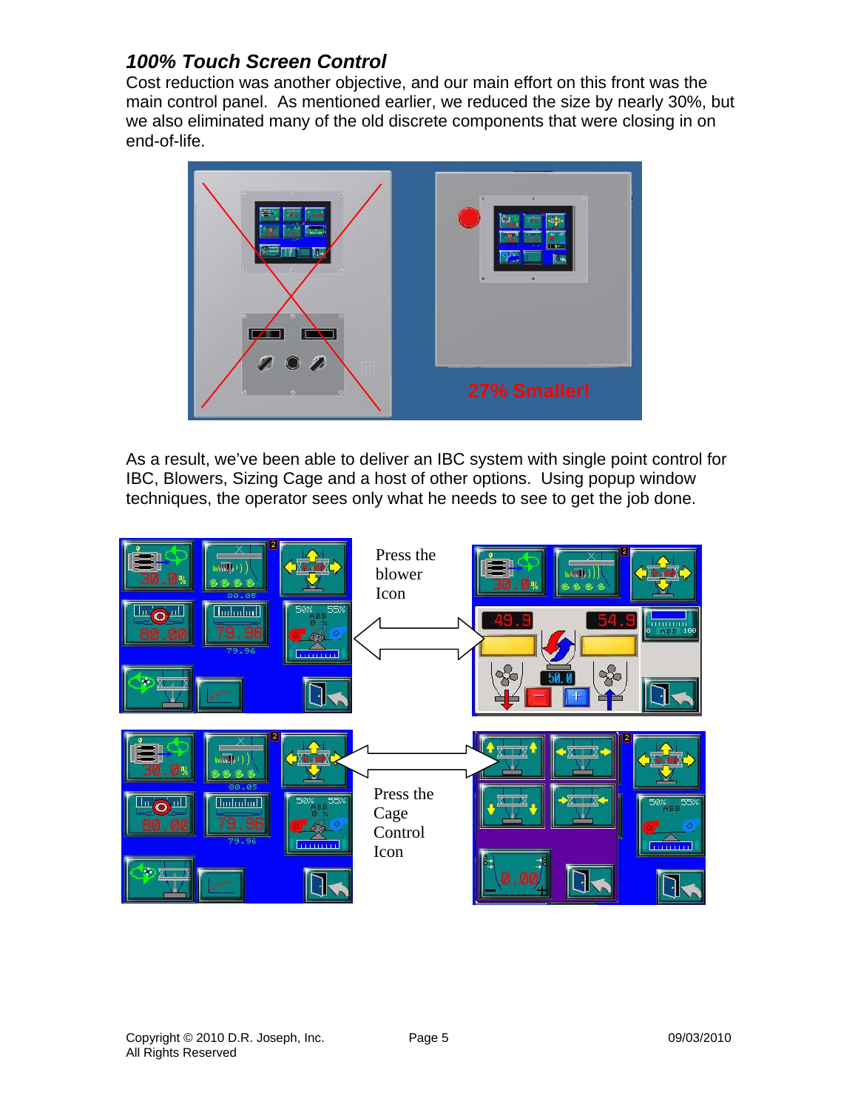#### *100% Touch Screen Control*

Cost reduction was another objective, and our main effort on this front was the main control panel. As mentioned earlier, we reduced the size by nearly 30%, but we also eliminated many of the old discrete components that were closing in on end-of-life.



As a result, we've been able to deliver an IBC system with single point control for IBC, Blowers, Sizing Cage and a host of other options. Using popup window techniques, the operator sees only what he needs to see to get the job done.

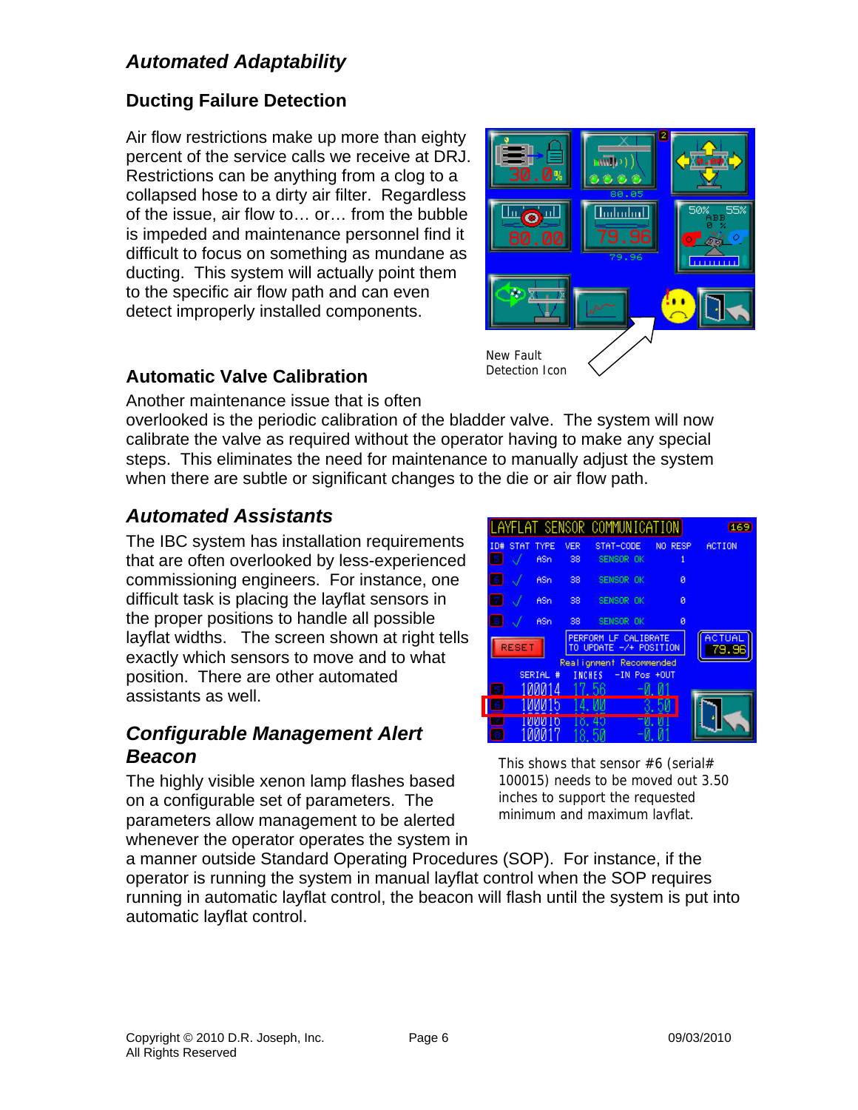### *Automated Adaptability*

#### **Ducting Failure Detection**

Air flow restrictions make up more than eighty percent of the service calls we receive at DRJ. Restrictions can be anything from a clog to a collapsed hose to a dirty air filter. Regardless of the issue, air flow to… or… from the bubble is impeded and maintenance personnel find it difficult to focus on something as mundane as ducting. This system will actually point them to the specific air flow path and can even detect improperly installed components.



#### **Automatic Valve Calibration**

Another maintenance issue that is often

overlooked is the periodic calibration of the bladder valve. The system will now calibrate the valve as required without the operator having to make any special steps. This eliminates the need for maintenance to manually adjust the system when there are subtle or significant changes to the die or air flow path.

### *Automated Assistants*

The IBC system has installation requirements that are often overlooked by less-experienced commissioning engineers. For instance, one difficult task is placing the layflat sensors in the proper positions to handle all possible layflat widths. The screen shown at right tells exactly which sensors to move and to what position. There are other automated assistants as well.

#### *Configurable Management Alert Beacon*

The highly visible xenon lamp flashes based on a configurable set of parameters. The parameters allow management to be alerted whenever the operator operates the system in



This shows that sensor  $#6$  (serial $#$ 100015) needs to be moved out 3.50 inches to support the requested minimum and maximum layflat.

a manner outside Standard Operating Procedures (SOP). For instance, if the operator is running the system in manual layflat control when the SOP requires running in automatic layflat control, the beacon will flash until the system is put into automatic layflat control.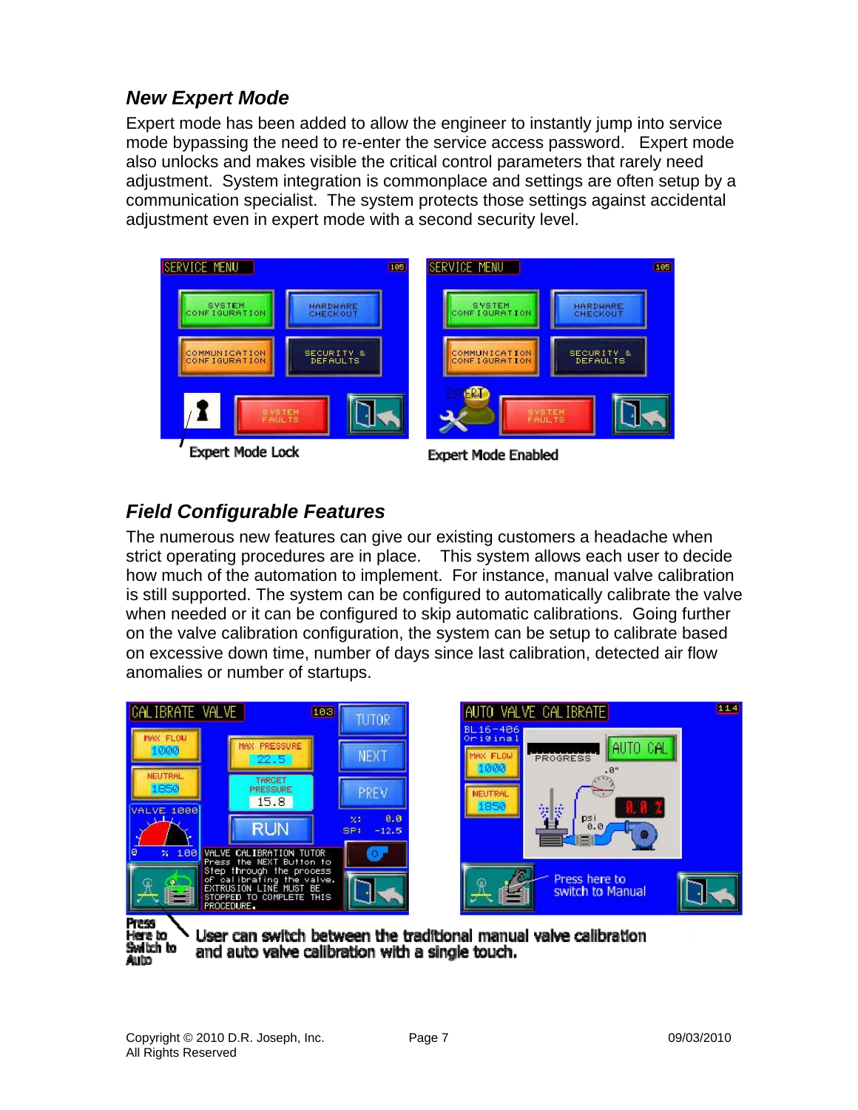### *New Expert Mode*

Expert mode has been added to allow the engineer to instantly jump into service mode bypassing the need to re-enter the service access password. Expert mode also unlocks and makes visible the critical control parameters that rarely need adjustment. System integration is commonplace and settings are often setup by a communication specialist. The system protects those settings against accidental adjustment even in expert mode with a second security level.



## *Field Configurable Features*

The numerous new features can give our existing customers a headache when strict operating procedures are in place. This system allows each user to decide how much of the automation to implement. For instance, manual valve calibration is still supported. The system can be configured to automatically calibrate the valve when needed or it can be configured to skip automatic calibrations. Going further on the valve calibration configuration, the system can be setup to calibrate based on excessive down time, number of days since last calibration, detected air flow anomalies or number of startups.



Here to Switch to Auto

User can switch between the traditional manual valve calibration and auto valve calibration with a single touch.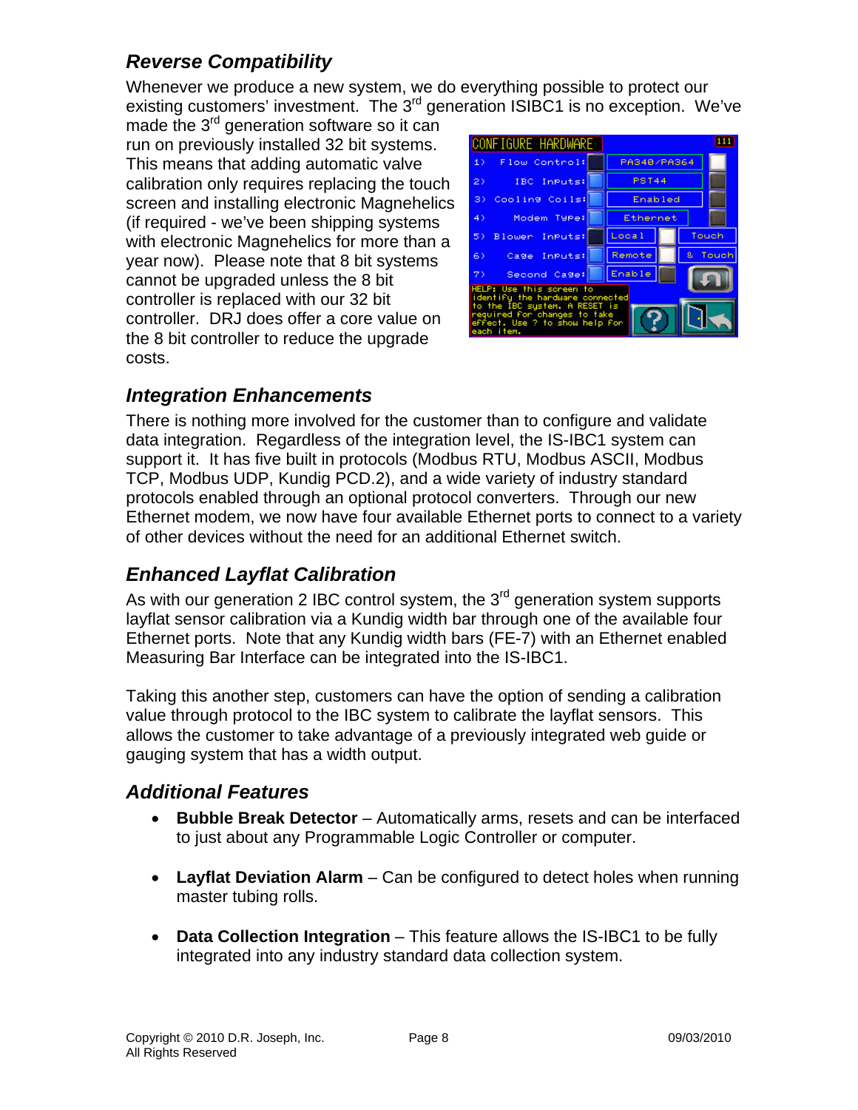### *Reverse Compatibility*

Whenever we produce a new system, we do everything possible to protect our existing customers' investment. The 3<sup>rd</sup> generation ISIBC1 is no exception. We've

made the 3<sup>rd</sup> generation software so it can run on previously installed 32 bit systems. This means that adding automatic valve calibration only requires replacing the touch screen and installing electronic Magnehelics (if required - we've been shipping systems with electronic Magnehelics for more than a year now). Please note that 8 bit systems cannot be upgraded unless the 8 bit controller is replaced with our 32 bit controller. DRJ does offer a core value on the 8 bit controller to reduce the upgrade costs.



### *Integration Enhancements*

There is nothing more involved for the customer than to configure and validate data integration. Regardless of the integration level, the IS-IBC1 system can support it. It has five built in protocols (Modbus RTU, Modbus ASCII, Modbus TCP, Modbus UDP, Kundig PCD.2), and a wide variety of industry standard protocols enabled through an optional protocol converters. Through our new Ethernet modem, we now have four available Ethernet ports to connect to a variety of other devices without the need for an additional Ethernet switch.

### *Enhanced Layflat Calibration*

As with our generation 2 IBC control system, the  $3<sup>rd</sup>$  generation system supports layflat sensor calibration via a Kundig width bar through one of the available four Ethernet ports. Note that any Kundig width bars (FE-7) with an Ethernet enabled Measuring Bar Interface can be integrated into the IS-IBC1.

Taking this another step, customers can have the option of sending a calibration value through protocol to the IBC system to calibrate the layflat sensors. This allows the customer to take advantage of a previously integrated web guide or gauging system that has a width output.

#### *Additional Features*

- **Bubble Break Detector** Automatically arms, resets and can be interfaced to just about any Programmable Logic Controller or computer.
- **Layflat Deviation Alarm** Can be configured to detect holes when running master tubing rolls.
- **Data Collection Integration** This feature allows the IS-IBC1 to be fully integrated into any industry standard data collection system.